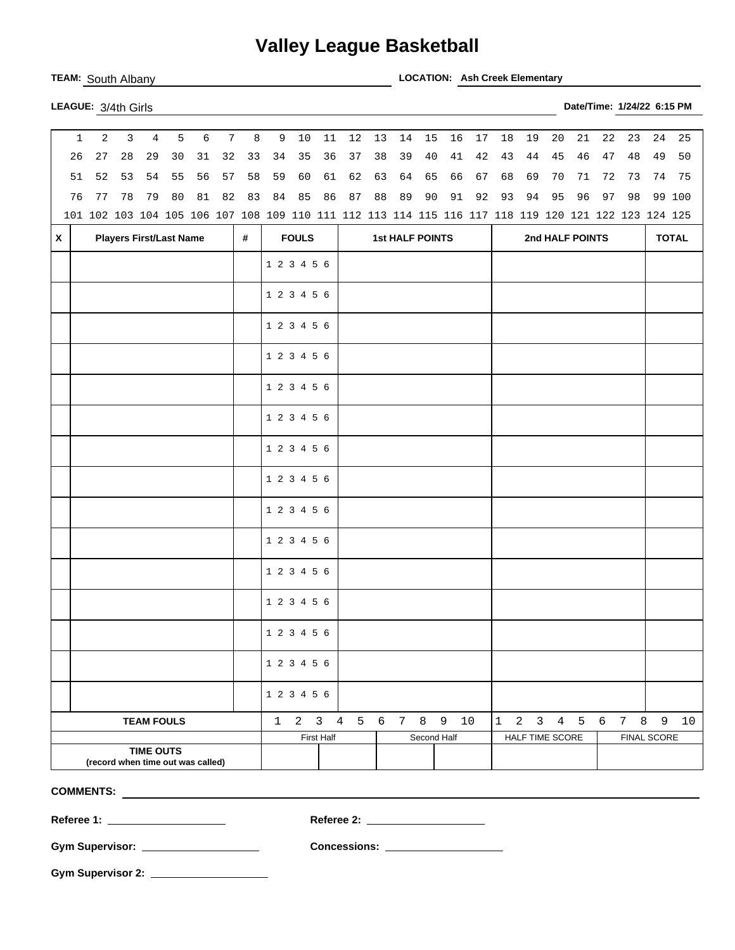## **Valley League Basketball**

**TEAM:** South Albany **LOCATION: Ash Creek Elementary** 

| LEAGUE: 3/4th Girls | Date/Time: 1/24/22 6:15 PM |  |
|---------------------|----------------------------|--|
|                     |                            |  |

| $\mathbf{1}$ | 2                                                                                                   | $\mathbf{3}$ | $\overline{4}$                 | 5  | $\epsilon$ | $7\overline{ }$ | 8  |             | 9 10                | $11\,$     | 12             | 13 | 14                     | 15          | 16 | 17 | 18           | 19 | 20              | 21                                  | 22 | 23                  | 24 | 25           |
|--------------|-----------------------------------------------------------------------------------------------------|--------------|--------------------------------|----|------------|-----------------|----|-------------|---------------------|------------|----------------|----|------------------------|-------------|----|----|--------------|----|-----------------|-------------------------------------|----|---------------------|----|--------------|
| 26           | 27                                                                                                  | 28           | 29                             | 30 | 31         | 32              | 33 | 34          | 35                  | 36         | 37             | 38 | 39                     | 40          | 41 | 42 | 43           | 44 | 45              | 46                                  | 47 | 48                  | 49 | 50           |
| 51           | 52                                                                                                  | 53           | 54                             | 55 | 56         | 57              | 58 | 59          | 60                  | 61         | 62             | 63 | 64                     | 65          | 66 | 67 | 68           | 69 | 70              | 71                                  | 72 | 73                  | 74 | 75           |
| 76           | 77                                                                                                  | 78           | 79                             | 80 | 81         | 82              | 83 | 84          | 85                  | 86         | 87             | 88 | 89                     | 90          | 91 | 92 | 93           | 94 | 95              | 96                                  | 97 | 98                  |    | 99 100       |
|              | 101 102 103 104 105 106 107 108 109 110 111 112 113 114 115 116 117 118 119 120 121 122 123 124 125 |              |                                |    |            |                 |    |             |                     |            |                |    |                        |             |    |    |              |    |                 |                                     |    |                     |    |              |
| X            |                                                                                                     |              | <b>Players First/Last Name</b> |    |            |                 | #  |             | <b>FOULS</b>        |            |                |    | <b>1st HALF POINTS</b> |             |    |    |              |    |                 | 2nd HALF POINTS                     |    |                     |    | <b>TOTAL</b> |
|              |                                                                                                     |              |                                |    |            |                 |    | 1 2 3 4 5 6 |                     |            |                |    |                        |             |    |    |              |    |                 |                                     |    |                     |    |              |
|              |                                                                                                     |              |                                |    |            |                 |    | 1 2 3 4 5 6 |                     |            |                |    |                        |             |    |    |              |    |                 |                                     |    |                     |    |              |
|              |                                                                                                     |              |                                |    |            |                 |    | 1 2 3 4 5 6 |                     |            |                |    |                        |             |    |    |              |    |                 |                                     |    |                     |    |              |
|              |                                                                                                     |              |                                |    |            |                 |    | 1 2 3 4 5 6 |                     |            |                |    |                        |             |    |    |              |    |                 |                                     |    |                     |    |              |
|              |                                                                                                     |              |                                |    |            |                 |    | 1 2 3 4 5 6 |                     |            |                |    |                        |             |    |    |              |    |                 |                                     |    |                     |    |              |
|              |                                                                                                     |              |                                |    |            |                 |    | 1 2 3 4 5 6 |                     |            |                |    |                        |             |    |    |              |    |                 |                                     |    |                     |    |              |
|              |                                                                                                     |              |                                |    |            |                 |    | 1 2 3 4 5 6 |                     |            |                |    |                        |             |    |    |              |    |                 |                                     |    |                     |    |              |
|              |                                                                                                     |              |                                |    |            |                 |    | 1 2 3 4 5 6 |                     |            |                |    |                        |             |    |    |              |    |                 |                                     |    |                     |    |              |
|              |                                                                                                     |              |                                |    |            |                 |    | 1 2 3 4 5 6 |                     |            |                |    |                        |             |    |    |              |    |                 |                                     |    |                     |    |              |
|              |                                                                                                     |              |                                |    |            |                 |    | 1 2 3 4 5 6 |                     |            |                |    |                        |             |    |    |              |    |                 |                                     |    |                     |    |              |
|              |                                                                                                     |              |                                |    |            |                 |    | 1 2 3 4 5 6 |                     |            |                |    |                        |             |    |    |              |    |                 |                                     |    |                     |    |              |
|              |                                                                                                     |              |                                |    |            |                 |    | 1 2 3 4 5 6 |                     |            |                |    |                        |             |    |    |              |    |                 |                                     |    |                     |    |              |
|              |                                                                                                     |              |                                |    |            |                 |    | 1 2 3 4 5 6 |                     |            |                |    |                        |             |    |    |              |    |                 |                                     |    |                     |    |              |
|              |                                                                                                     |              |                                |    |            |                 |    | 1 2 3 4 5 6 |                     |            |                |    |                        |             |    |    |              |    |                 |                                     |    |                     |    |              |
|              |                                                                                                     |              |                                |    |            |                 |    | 1 2 3 4 5 6 |                     |            |                |    |                        |             |    |    |              |    |                 |                                     |    |                     |    |              |
|              |                                                                                                     |              | <b>TEAM FOULS</b>              |    |            |                 |    |             | $1 \quad 2 \quad 3$ |            | 4 5 6 7 8 9 10 |    |                        |             |    |    | $\mathbf{1}$ |    |                 | $2 \quad 3 \quad 4 \quad 5 \quad 6$ |    | 8<br>7 <sup>7</sup> | 9  | 10           |
|              |                                                                                                     |              |                                |    |            |                 |    |             |                     | First Half |                |    |                        | Second Half |    |    |              |    | HALF TIME SCORE |                                     |    | FINAL SCORE         |    |              |
|              | (record when time out was called)                                                                   |              | <b>TIME OUTS</b>               |    |            |                 |    |             |                     |            |                |    |                        |             |    |    |              |    |                 |                                     |    |                     |    |              |

**COMMENTS:** 

**Referee 1: Referee 2:** 

**Gym Supervisor: Concessions:** 

**Gym Supervisor 2:**